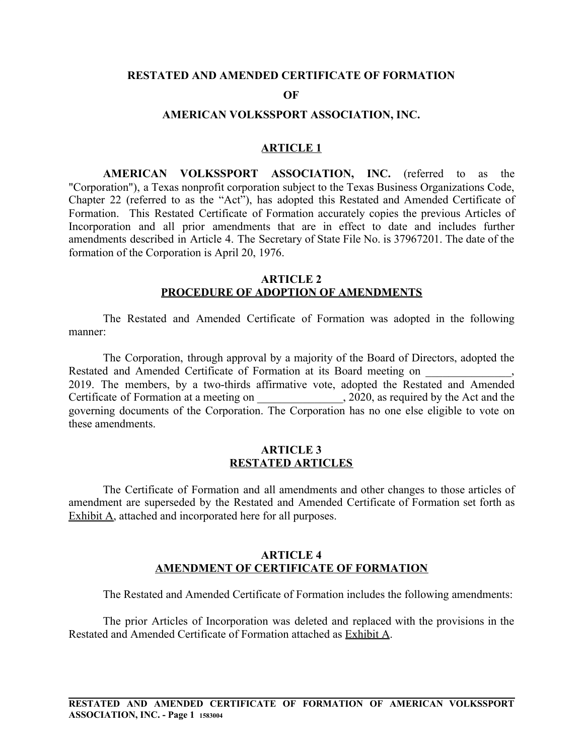# **RESTATED AND AMENDED CERTIFICATE OF FORMATION**

# **OF**

# **AMERICAN VOLKSSPORT ASSOCIATION, INC.**

# **ARTICLE 1**

**AMERICAN VOLKSSPORT ASSOCIATION, INC.** (referred to as the "Corporation"), a Texas nonprofit corporation subject to the Texas Business Organizations Code, Chapter 22 (referred to as the "Act"), has adopted this Restated and Amended Certificate of Formation. This Restated Certificate of Formation accurately copies the previous Articles of Incorporation and all prior amendments that are in effect to date and includes further amendments described in Article 4. The Secretary of State File No. is 37967201. The date of the formation of the Corporation is April 20, 1976.

### **ARTICLE 2 PROCEDURE OF ADOPTION OF AMENDMENTS**

The Restated and Amended Certificate of Formation was adopted in the following manner:

The Corporation, through approval by a majority of the Board of Directors, adopted the Restated and Amended Certificate of Formation at its Board meeting on 2019. The members, by a two-thirds affirmative vote, adopted the Restated and Amended Certificate of Formation at a meeting on \_\_\_\_\_\_\_\_\_\_\_\_\_\_\_\_\_, 2020, as required by the Act and the governing documents of the Corporation. The Corporation has no one else eligible to vote on these amendments.

#### **ARTICLE 3 RESTATED ARTICLES**

The Certificate of Formation and all amendments and other changes to those articles of amendment are superseded by the Restated and Amended Certificate of Formation set forth as Exhibit A, attached and incorporated here for all purposes.

# **ARTICLE 4 AMENDMENT OF CERTIFICATE OF FORMATION**

The Restated and Amended Certificate of Formation includes the following amendments:

The prior Articles of Incorporation was deleted and replaced with the provisions in the Restated and Amended Certificate of Formation attached as Exhibit A.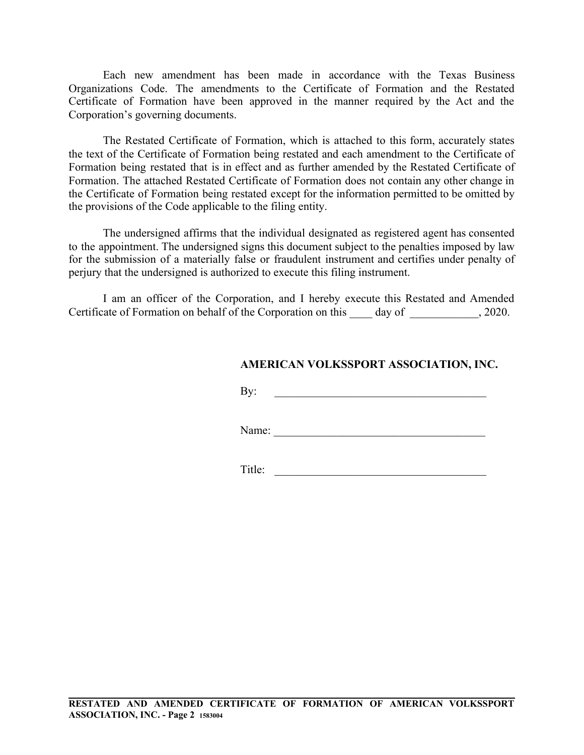Each new amendment has been made in accordance with the Texas Business Organizations Code. The amendments to the Certificate of Formation and the Restated Certificate of Formation have been approved in the manner required by the Act and the Corporation's governing documents.

The Restated Certificate of Formation, which is attached to this form, accurately states the text of the Certificate of Formation being restated and each amendment to the Certificate of Formation being restated that is in effect and as further amended by the Restated Certificate of Formation. The attached Restated Certificate of Formation does not contain any other change in the Certificate of Formation being restated except for the information permitted to be omitted by the provisions of the Code applicable to the filing entity.

The undersigned affirms that the individual designated as registered agent has consented to the appointment. The undersigned signs this document subject to the penalties imposed by law for the submission of a materially false or fraudulent instrument and certifies under penalty of perjury that the undersigned is authorized to execute this filing instrument.

I am an officer of the Corporation, and I hereby execute this Restated and Amended Certificate of Formation on behalf of the Corporation on this day of  $\qquad \qquad$ , 2020.

# **AMERICAN VOLKSSPORT ASSOCIATION, INC.**

By:  $\qquad \qquad$ 

Name:

Title: \_\_\_\_\_\_\_\_\_\_\_\_\_\_\_\_\_\_\_\_\_\_\_\_\_\_\_\_\_\_\_\_\_\_\_\_\_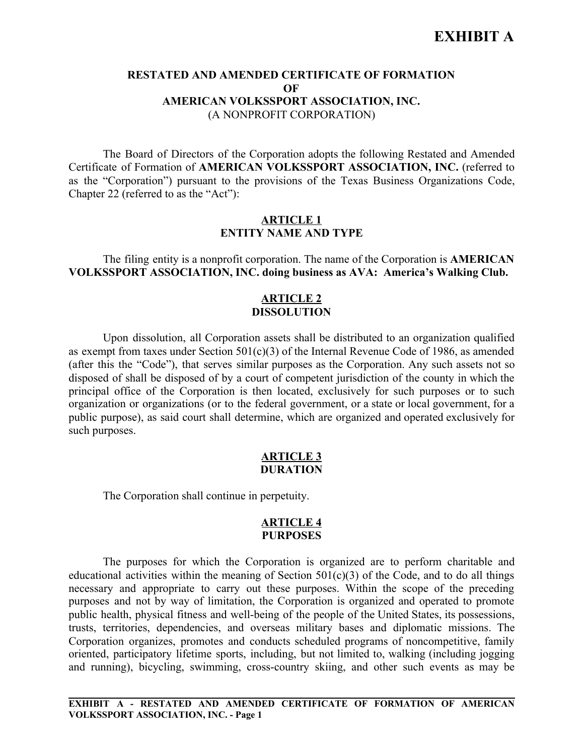# **RESTATED AND AMENDED CERTIFICATE OF FORMATION OF AMERICAN VOLKSSPORT ASSOCIATION, INC.** (A NONPROFIT CORPORATION)

The Board of Directors of the Corporation adopts the following Restated and Amended Certificate of Formation of **AMERICAN VOLKSSPORT ASSOCIATION, INC.** (referred to as the "Corporation") pursuant to the provisions of the Texas Business Organizations Code, Chapter 22 (referred to as the "Act"):

### **ARTICLE 1 ENTITY NAME AND TYPE**

The filing entity is a nonprofit corporation. The name of the Corporation is **AMERICAN VOLKSSPORT ASSOCIATION, INC. doing business as AVA: America's Walking Club.**

# **ARTICLE 2 DISSOLUTION**

Upon dissolution, all Corporation assets shall be distributed to an organization qualified as exempt from taxes under Section 501(c)(3) of the Internal Revenue Code of 1986, as amended (after this the "Code"), that serves similar purposes as the Corporation. Any such assets not so disposed of shall be disposed of by a court of competent jurisdiction of the county in which the principal office of the Corporation is then located, exclusively for such purposes or to such organization or organizations (or to the federal government, or a state or local government, for a public purpose), as said court shall determine, which are organized and operated exclusively for such purposes.

#### **ARTICLE 3 DURATION**

The Corporation shall continue in perpetuity.

# **ARTICLE 4 PURPOSES**

The purposes for which the Corporation is organized are to perform charitable and educational activities within the meaning of Section  $501(c)(3)$  of the Code, and to do all things necessary and appropriate to carry out these purposes. Within the scope of the preceding purposes and not by way of limitation, the Corporation is organized and operated to promote public health, physical fitness and well-being of the people of the United States, its possessions, trusts, territories, dependencies, and overseas military bases and diplomatic missions. The Corporation organizes, promotes and conducts scheduled programs of noncompetitive, family oriented, participatory lifetime sports, including, but not limited to, walking (including jogging and running), bicycling, swimming, cross-country skiing, and other such events as may be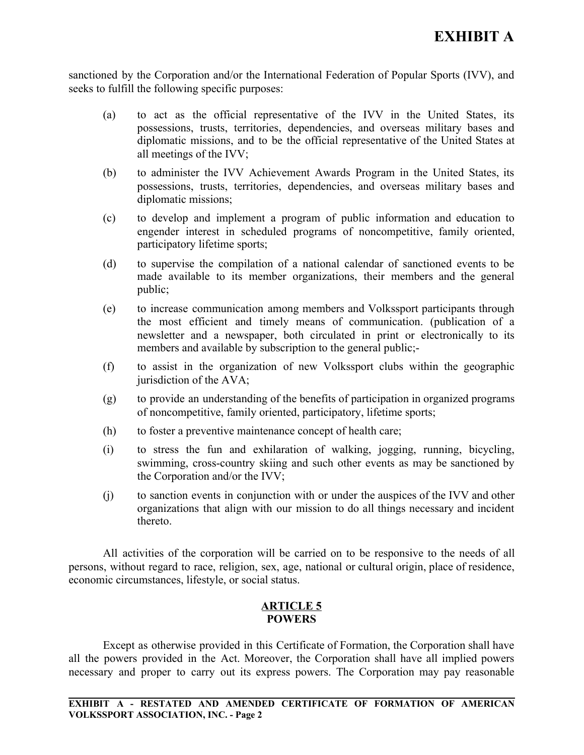sanctioned by the Corporation and/or the International Federation of Popular Sports (IVV), and seeks to fulfill the following specific purposes:

- (a) to act as the official representative of the IVV in the United States, its possessions, trusts, territories, dependencies, and overseas military bases and diplomatic missions, and to be the official representative of the United States at all meetings of the IVV;
- (b) to administer the IVV Achievement Awards Program in the United States, its possessions, trusts, territories, dependencies, and overseas military bases and diplomatic missions;
- (c) to develop and implement a program of public information and education to engender interest in scheduled programs of noncompetitive, family oriented, participatory lifetime sports;
- (d) to supervise the compilation of a national calendar of sanctioned events to be made available to its member organizations, their members and the general public;
- (e) to increase communication among members and Volkssport participants through the most efficient and timely means of communication. (publication of a newsletter and a newspaper, both circulated in print or electronically to its members and available by subscription to the general public;-
- (f) to assist in the organization of new Volkssport clubs within the geographic jurisdiction of the AVA;
- (g) to provide an understanding of the benefits of participation in organized programs of noncompetitive, family oriented, participatory, lifetime sports;
- (h) to foster a preventive maintenance concept of health care;
- (i) to stress the fun and exhilaration of walking, jogging, running, bicycling, swimming, cross-country skiing and such other events as may be sanctioned by the Corporation and/or the IVV;
- (j) to sanction events in conjunction with or under the auspices of the IVV and other organizations that align with our mission to do all things necessary and incident thereto.

All activities of the corporation will be carried on to be responsive to the needs of all persons, without regard to race, religion, sex, age, national or cultural origin, place of residence, economic circumstances, lifestyle, or social status.

# **ARTICLE 5 POWERS**

Except as otherwise provided in this Certificate of Formation, the Corporation shall have all the powers provided in the Act. Moreover, the Corporation shall have all implied powers necessary and proper to carry out its express powers. The Corporation may pay reasonable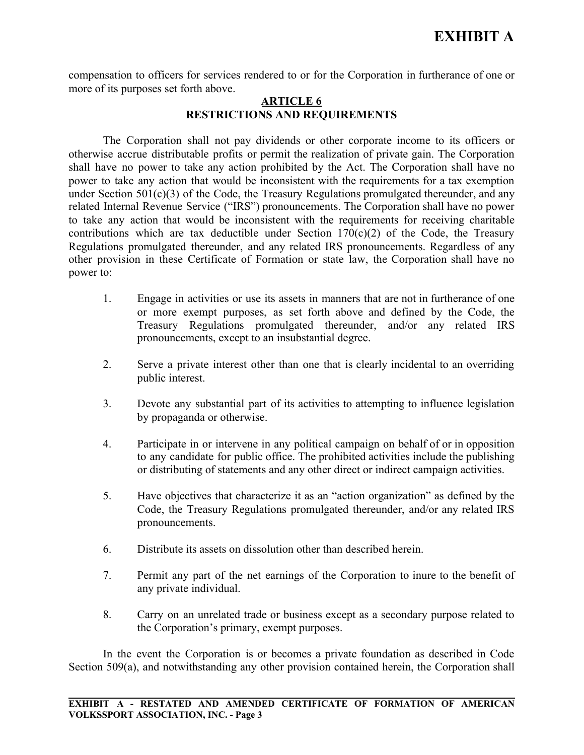compensation to officers for services rendered to or for the Corporation in furtherance of one or more of its purposes set forth above.

# **ARTICLE 6 RESTRICTIONS AND REQUIREMENTS**

The Corporation shall not pay dividends or other corporate income to its officers or otherwise accrue distributable profits or permit the realization of private gain. The Corporation shall have no power to take any action prohibited by the Act. The Corporation shall have no power to take any action that would be inconsistent with the requirements for a tax exemption under Section 501(c)(3) of the Code, the Treasury Regulations promulgated thereunder, and any related Internal Revenue Service ("IRS") pronouncements. The Corporation shall have no power to take any action that would be inconsistent with the requirements for receiving charitable contributions which are tax deductible under Section  $170(c)(2)$  of the Code, the Treasury Regulations promulgated thereunder, and any related IRS pronouncements. Regardless of any other provision in these Certificate of Formation or state law, the Corporation shall have no power to:

- 1. Engage in activities or use its assets in manners that are not in furtherance of one or more exempt purposes, as set forth above and defined by the Code, the Treasury Regulations promulgated thereunder, and/or any related IRS pronouncements, except to an insubstantial degree.
- 2. Serve a private interest other than one that is clearly incidental to an overriding public interest.
- 3. Devote any substantial part of its activities to attempting to influence legislation by propaganda or otherwise.
- 4. Participate in or intervene in any political campaign on behalf of or in opposition to any candidate for public office. The prohibited activities include the publishing or distributing of statements and any other direct or indirect campaign activities.
- 5. Have objectives that characterize it as an "action organization" as defined by the Code, the Treasury Regulations promulgated thereunder, and/or any related IRS pronouncements.
- 6. Distribute its assets on dissolution other than described herein.
- 7. Permit any part of the net earnings of the Corporation to inure to the benefit of any private individual.
- 8. Carry on an unrelated trade or business except as a secondary purpose related to the Corporation's primary, exempt purposes.

In the event the Corporation is or becomes a private foundation as described in Code Section 509(a), and notwithstanding any other provision contained herein, the Corporation shall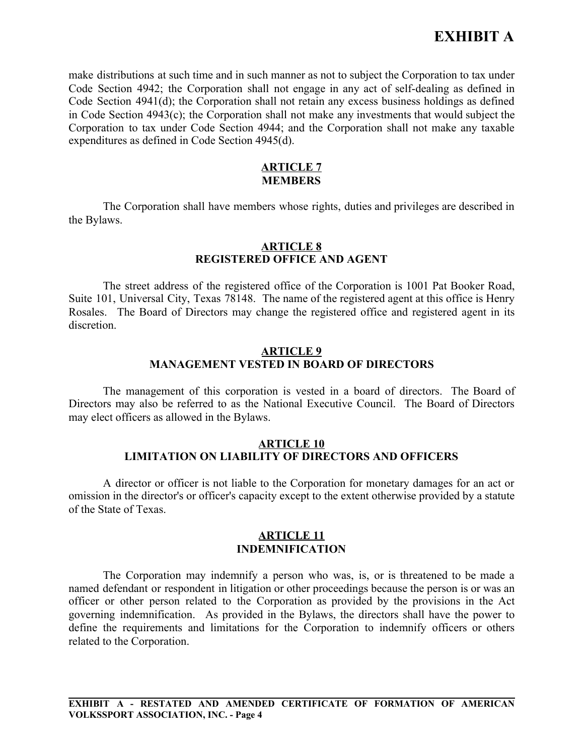# **EXHIBIT A**

make distributions at such time and in such manner as not to subject the Corporation to tax under Code Section 4942; the Corporation shall not engage in any act of self-dealing as defined in Code Section 4941(d); the Corporation shall not retain any excess business holdings as defined in Code Section 4943(c); the Corporation shall not make any investments that would subject the Corporation to tax under Code Section 4944; and the Corporation shall not make any taxable expenditures as defined in Code Section 4945(d).

# **ARTICLE 7 MEMBERS**

The Corporation shall have members whose rights, duties and privileges are described in the Bylaws.

# **ARTICLE 8 REGISTERED OFFICE AND AGENT**

The street address of the registered office of the Corporation is 1001 Pat Booker Road, Suite 101, Universal City, Texas 78148. The name of the registered agent at this office is Henry Rosales. The Board of Directors may change the registered office and registered agent in its discretion.

### **ARTICLE 9 MANAGEMENT VESTED IN BOARD OF DIRECTORS**

The management of this corporation is vested in a board of directors. The Board of Directors may also be referred to as the National Executive Council. The Board of Directors may elect officers as allowed in the Bylaws.

### **ARTICLE 10 LIMITATION ON LIABILITY OF DIRECTORS AND OFFICERS**

A director or officer is not liable to the Corporation for monetary damages for an act or omission in the director's or officer's capacity except to the extent otherwise provided by a statute of the State of Texas.

# **ARTICLE 11 INDEMNIFICATION**

The Corporation may indemnify a person who was, is, or is threatened to be made a named defendant or respondent in litigation or other proceedings because the person is or was an officer or other person related to the Corporation as provided by the provisions in the Act governing indemnification. As provided in the Bylaws, the directors shall have the power to define the requirements and limitations for the Corporation to indemnify officers or others related to the Corporation.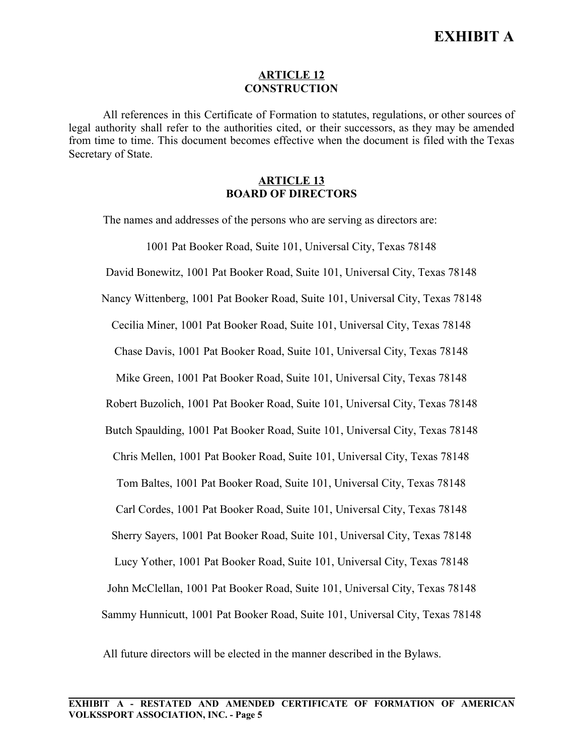# **EXHIBIT A**

#### **ARTICLE 12 CONSTRUCTION**

All references in this Certificate of Formation to statutes, regulations, or other sources of legal authority shall refer to the authorities cited, or their successors, as they may be amended from time to time. This document becomes effective when the document is filed with the Texas Secretary of State.

### **ARTICLE 13 BOARD OF DIRECTORS**

The names and addresses of the persons who are serving as directors are:

1001 Pat Booker Road, Suite 101, Universal City, Texas 78148

David Bonewitz, 1001 Pat Booker Road, Suite 101, Universal City, Texas 78148

Nancy Wittenberg, 1001 Pat Booker Road, Suite 101, Universal City, Texas 78148

Cecilia Miner, 1001 Pat Booker Road, Suite 101, Universal City, Texas 78148

Chase Davis, 1001 Pat Booker Road, Suite 101, Universal City, Texas 78148

Mike Green, 1001 Pat Booker Road, Suite 101, Universal City, Texas 78148

Robert Buzolich, 1001 Pat Booker Road, Suite 101, Universal City, Texas 78148

Butch Spaulding, 1001 Pat Booker Road, Suite 101, Universal City, Texas 78148

Chris Mellen, 1001 Pat Booker Road, Suite 101, Universal City, Texas 78148

Tom Baltes, 1001 Pat Booker Road, Suite 101, Universal City, Texas 78148

Carl Cordes, 1001 Pat Booker Road, Suite 101, Universal City, Texas 78148

Sherry Sayers, 1001 Pat Booker Road, Suite 101, Universal City, Texas 78148

Lucy Yother, 1001 Pat Booker Road, Suite 101, Universal City, Texas 78148

John McClellan, 1001 Pat Booker Road, Suite 101, Universal City, Texas 78148

Sammy Hunnicutt, 1001 Pat Booker Road, Suite 101, Universal City, Texas 78148

All future directors will be elected in the manner described in the Bylaws.